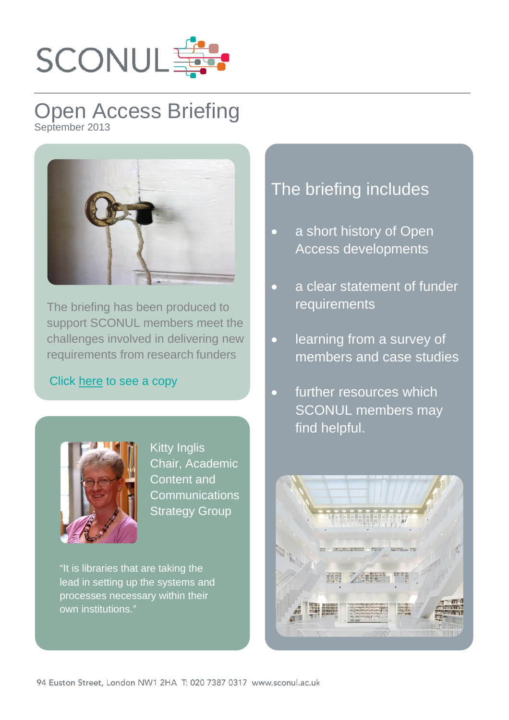

## Open Access Briefing September 2013



The briefing has been produced to support SCONUL members meet the challenges involved in delivering new requirements from research funders

## Click [here](http://www.sconul.ac.uk/publication/briefing-on-mandatory-open-access-policies) to see a copy



Kitty Inglis Chair, Academic Content and **Communications** Strategy Group

"It is libraries that are taking the lead in setting up the systems and processes necessary within their own institutions."

## The briefing includes

- a short history of Open Access developments
- a clear statement of funder requirements
- learning from a survey of members and case studies
- further resources which SCONUL members may find helpful.